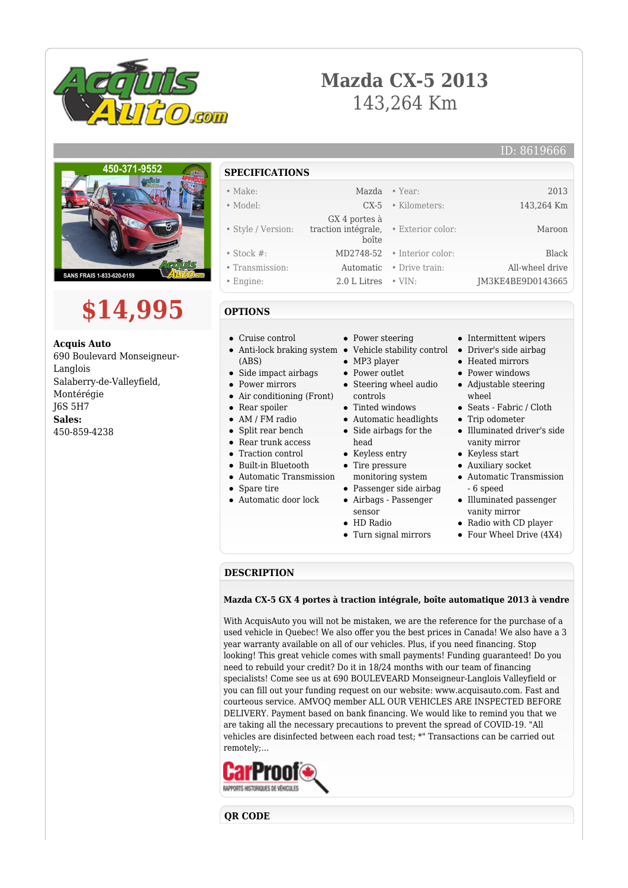

# **Mazda CX-5 2013** 143,264 Km

### ID: 8619666



# **\$14,995**

**Acquis Auto** 690 Boulevard Monseigneur-Langlois Salaberry-de-Valleyfield, Montérégie J6S 5H7 **Sales:** 450-859-4238

# **SPECIFICATIONS**

| $\bullet$ Make:    |                                                | Mazda • Year:                 | 2013              |
|--------------------|------------------------------------------------|-------------------------------|-------------------|
| • Model:           |                                                | $CX-5$ • Kilometers:          | 143,264 Km        |
|                    | GX 4 portes à                                  |                               |                   |
| • Style / Version: | traction intégrale, · Exterior color:<br>boîte |                               | Maroon            |
| $\bullet$ Stock #: |                                                | $MD2748-52$ · Interior color: | Black             |
| • Transmission:    |                                                | Automatic • Drive train:      | All-wheel drive   |
| $\bullet$ Engine:  | $2.0$ L Litres $\cdot$ VIN:                    |                               | JM3KE4BE9D0143665 |

## **OPTIONS**

- Cruise control
- Anti-lock braking system Vehicle stability control (ABS)
- Side impact airbags
- Power mirrors
- Air conditioning (Front)
- Rear spoiler
- AM / FM radio
- $\bullet$ Split rear bench
- Rear trunk access
- Traction control  $\bullet$
- Built-in Bluetooth
- Automatic Transmission
- Spare tire
- Automatic door lock
- Power steering
- 
- MP3 player
- Power outlet
- Steering wheel audio controls
- Tinted windows
- Automatic headlights Side airbags for the
- head
- Keyless entry
- Tire pressure monitoring system
- Passenger side airbag
- Airbags Passenger sensor
- HD Radio
- Turn signal mirrors
- Intermittent wipers
- Driver's side airbag
- Heated mirrors
- Power windows
- Adjustable steering wheel
- Seats Fabric / Cloth
- Trip odometer
- Illuminated driver's side vanity mirror
- Keyless start
- Auxiliary socket
- Automatic Transmission - 6 speed
- Illuminated passenger vanity mirror
- Radio with CD player
- Four Wheel Drive (4X4)

### **DESCRIPTION**

#### **Mazda CX-5 GX 4 portes à traction intégrale, boîte automatique 2013 à vendre**

With AcquisAuto you will not be mistaken, we are the reference for the purchase of a used vehicle in Quebec! We also offer you the best prices in Canada! We also have a 3 year warranty available on all of our vehicles. Plus, if you need financing. Stop looking! This great vehicle comes with small payments! Funding guaranteed! Do you need to rebuild your credit? Do it in 18/24 months with our team of financing specialists! Come see us at 690 BOULEVEARD Monseigneur-Langlois Valleyfield or you can fill out your funding request on our website: www.acquisauto.com. Fast and courteous service. AMVOQ member ALL OUR VEHICLES ARE INSPECTED BEFORE DELIVERY. Payment based on bank financing. We would like to remind you that we are taking all the necessary precautions to prevent the spread of COVID-19. "All vehicles are disinfected between each road test; \*" Transactions can be carried out remotely;...



**QR CODE**